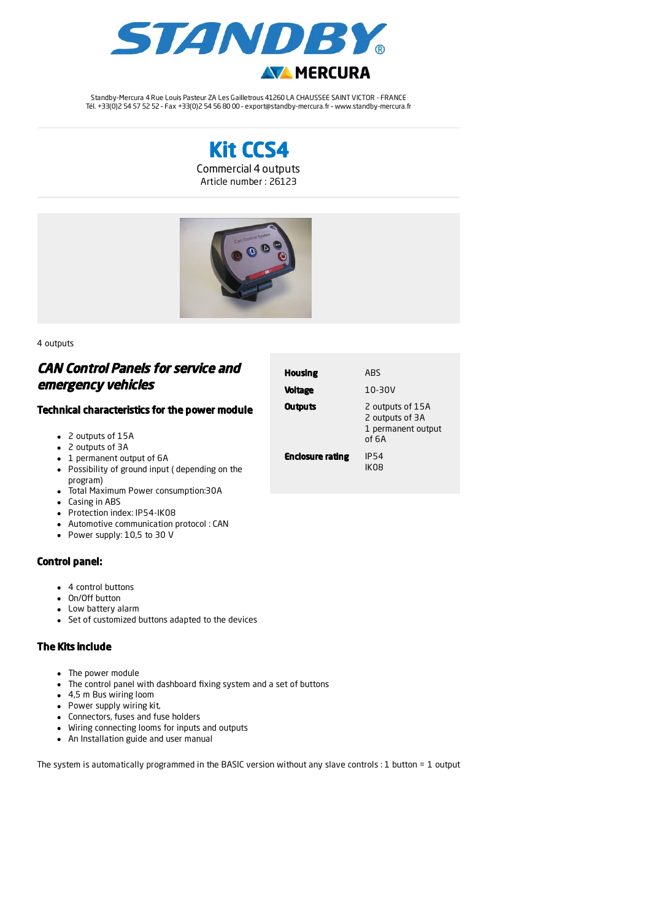

Standby-Mercura 4 Rue Louis Pasteur ZA Les Gailletrous 41260 LA CHAUSSEE SAINT VICTOR - FRANCE Tél. +33(0)2 54 57 52 52 – Fax +33(0)2 54 56 80 00 – export@standby-mercura.fr – www.standby-mercura.fr





4 outputs

## CAN Control Panels for service and emergency vehicles

## Technical characteristics for the power module

- 2 outputs of 15A
- 2 outputs of 3A
- 1 permanent output of 6A
- Possibility of ground input ( depending on the program)
- Total Maximum Power consumption:30A
- Casing in ABS
- Protection index: IP54-IK08
- Automotive communication protocol : CAN
- Power supply: 10,5 to 30 V

## Control panel:

- 4 control buttons
- On/Off button
- Low battery alarm
- Set of customized buttons adapted to the devices

## The Kits include

- The power module
- The control panel with dashboard fixing system and a set of buttons
- 4,5 m Bus wiring loom
- Power supply wiring kit,
- Connectors, fuses and fuse holders
- Wiring connecting looms for inputs and outputs
- An Installation guide and user manual

The system is automatically programmed in the BASIC version without any slave controls : 1 button = 1 output

| <b>Housing</b>          | ARS                                                                |
|-------------------------|--------------------------------------------------------------------|
| <b>Voltage</b>          | $10-30V$                                                           |
| <b>Outputs</b>          | 2 outputs of 15A<br>2 outputs of 3A<br>1 permanent output<br>of 6A |
| <b>Enclosure rating</b> | <b>IP54</b><br>IKO8                                                |